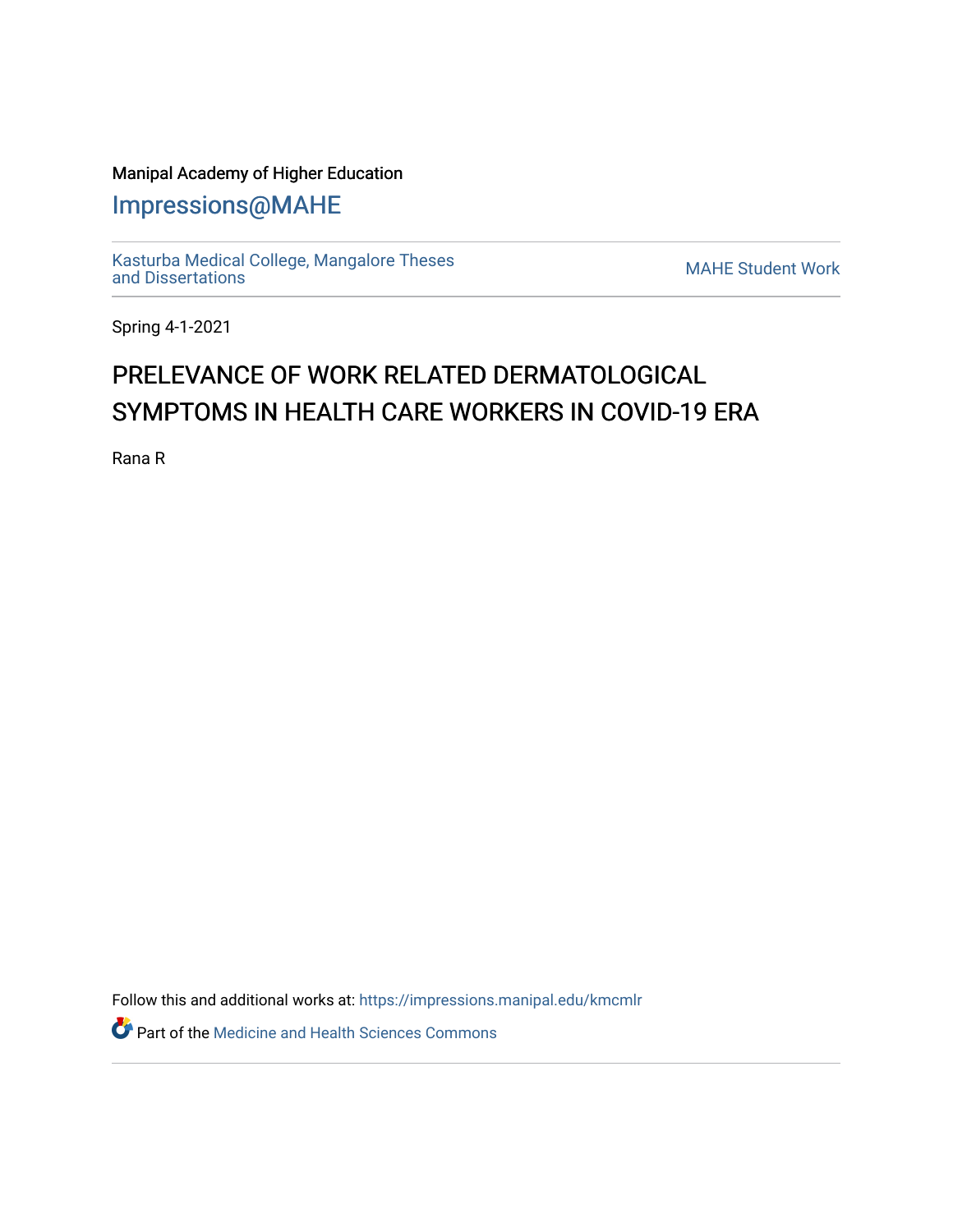## Manipal Academy of Higher Education

[Impressions@MAHE](https://impressions.manipal.edu/)

[Kasturba Medical College, Mangalore Theses](https://impressions.manipal.edu/kmcmlr) [and Dissertations](https://impressions.manipal.edu/kmcmlr) [MAHE Student Work](https://impressions.manipal.edu/student-work) 

Spring 4-1-2021

## PRELEVANCE OF WORK RELATED DERMATOLOGICAL SYMPTOMS IN HEALTH CARE WORKERS IN COVID-19 ERA

Rana R

Follow this and additional works at: [https://impressions.manipal.edu/kmcmlr](https://impressions.manipal.edu/kmcmlr?utm_source=impressions.manipal.edu%2Fkmcmlr%2F172&utm_medium=PDF&utm_campaign=PDFCoverPages) 

Part of the [Medicine and Health Sciences Commons](http://network.bepress.com/hgg/discipline/648?utm_source=impressions.manipal.edu%2Fkmcmlr%2F172&utm_medium=PDF&utm_campaign=PDFCoverPages)